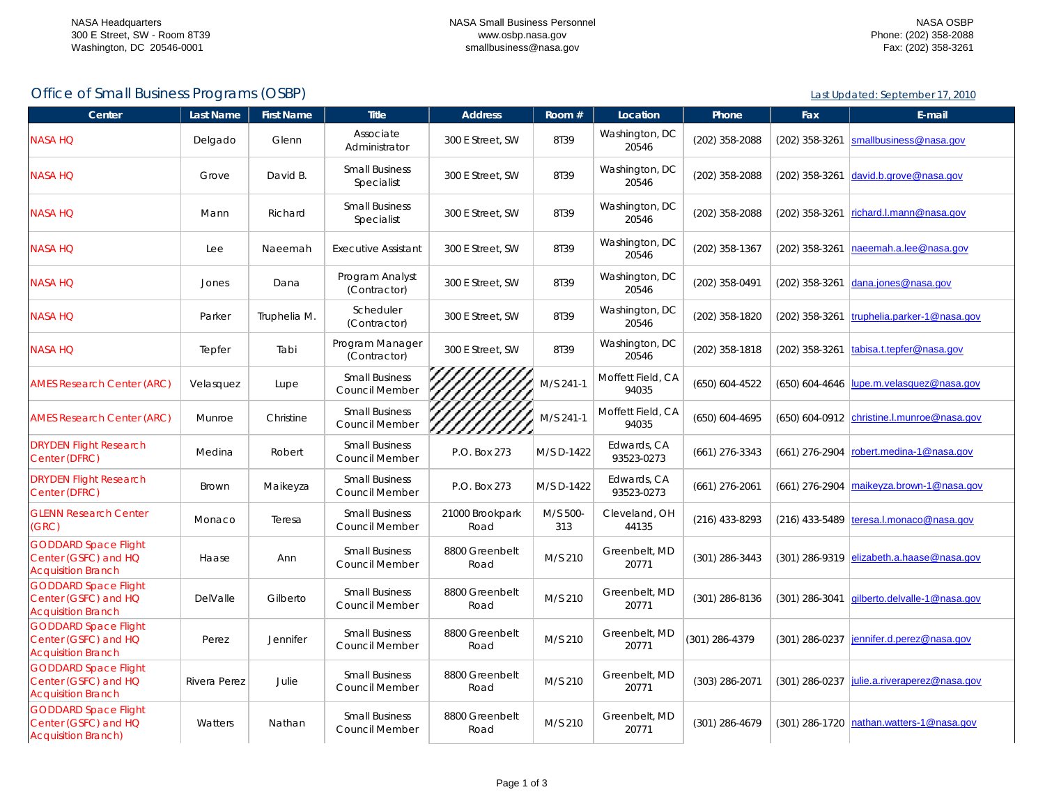Last Updated: September 17, 2010

## Office of Small Business Programs (OSBP)

| Center                                                                            | Last Name    | <b>First Name</b> | <b>Title</b>                                   | <b>Address</b>          | Room #          | Location                   | Phone            | Fax              | E-mail                                                 |
|-----------------------------------------------------------------------------------|--------------|-------------------|------------------------------------------------|-------------------------|-----------------|----------------------------|------------------|------------------|--------------------------------------------------------|
| <b>NASA HQ</b>                                                                    | Delgado      | Glenn             | Associate<br>Administrator                     | 300 E Street, SW        | 8T39            | Washington, DC<br>20546    | (202) 358-2088   | (202) 358-3261   | smallbusiness@nasa.gov                                 |
| <b>NASA HQ</b>                                                                    | Grove        | David B.          | <b>Small Business</b><br>Specialist            | 300 E Street, SW        | 8T39            | Washington, DC<br>20546    | (202) 358-2088   | $(202)$ 358-3261 | david.b.grove@nasa.gov                                 |
| <b>NASA HQ</b>                                                                    | Mann         | Richard           | <b>Small Business</b><br>Specialist            | 300 E Street, SW        | 8T39            | Washington, DC<br>20546    | (202) 358-2088   | $(202)$ 358-3261 | richard.l.mann@nasa.gov                                |
| <b>NASA HQ</b>                                                                    | Lee          | Naeemah           | <b>Executive Assistant</b>                     | 300 E Street, SW        | 8T39            | Washington, DC<br>20546    | (202) 358-1367   | (202) 358-3261   | naeemah.a.lee@nasa.gov                                 |
| <b>NASA HQ</b>                                                                    | Jones        | Dana              | Program Analyst<br>(Contractor)                | 300 E Street, SW        | 8T39            | Washington, DC<br>20546    | (202) 358-0491   | (202) 358-3261   | dana.jones@nasa.gov                                    |
| <b>NASA HQ</b>                                                                    | Parker       | Truphelia M.      | Scheduler<br>(Contractor)                      | 300 E Street, SW        | 8T39            | Washington, DC<br>20546    | (202) 358-1820   | $(202)$ 358-3261 | truphelia.parker-1@nasa.gov                            |
| <b>NASA HQ</b>                                                                    | Tepfer       | Tabi              | Program Manager<br>(Contractor)                | 300 E Street, SW        | 8T39            | Washington, DC<br>20546    | (202) 358-1818   | (202) 358-3261   | tabisa.t.tepfer@nasa.gov                               |
| <b>AMES Research Center (ARC)</b>                                                 | Velasquez    | Lupe              | <b>Small Business</b><br>Council Member        |                         | M/S 241-1       | Moffett Field, CA<br>94035 | (650) 604-4522   |                  | $(650)$ 604-4646 $\vert\vert$ upe.m.velasquez@nasa.gov |
| <b>AMES Research Center (ARC)</b>                                                 | Munroe       | Christine         | <b>Small Business</b><br>Council Member        |                         | M/S 241-1       | Moffett Field, CA<br>94035 | (650) 604-4695   |                  | $(650)$ 604-0912 christine.l.munroe@nasa.gov           |
| <b>DRYDEN Flight Research</b><br>Center (DFRC)                                    | Medina       | Robert            | <b>Small Business</b><br>Council Member        | P.O. Box 273            | M/S D-1422      | Edwards, CA<br>93523-0273  | $(661)$ 276-3343 |                  | $(661)$ 276-2904 robert.medina-1@nasa.gov              |
| <b>DRYDEN Flight Research</b><br>Center (DFRC)                                    | <b>Brown</b> | Maikeyza          | <b>Small Business</b><br><b>Council Member</b> | P.O. Box 273            | M/S D-1422      | Edwards, CA<br>93523-0273  | $(661)$ 276-2061 |                  | (661) 276-2904 maikeyza.brown-1@nasa.gov               |
| <b>GLENN Research Center</b><br>(GRC)                                             | Monaco       | Teresa            | <b>Small Business</b><br><b>Council Member</b> | 21000 Brookpark<br>Road | M/S 500-<br>313 | Cleveland, OH<br>44135     | $(216)$ 433-8293 |                  | $(216)$ 433-5489 teresa.l.monaco@nasa.gov              |
| <b>GODDARD Space Flight</b><br>Center (GSFC) and HQ<br><b>Acquisition Branch</b>  | Haase        | Ann               | <b>Small Business</b><br>Council Member        | 8800 Greenbelt<br>Road  | M/S 210         | Greenbelt, MD<br>20771     | $(301)$ 286-3443 |                  | $(301)$ 286-9319 elizabeth.a.haase@nasa.gov            |
| <b>GODDARD Space Flight</b><br>Center (GSFC) and HQ<br><b>Acquisition Branch</b>  | DelValle     | Gilberto          | <b>Small Business</b><br>Council Member        | 8800 Greenbelt<br>Road  | M/S 210         | Greenbelt, MD<br>20771     | (301) 286-8136   |                  | (301) 286-3041 gilberto.delvalle-1@nasa.gov            |
| <b>GODDARD Space Flight</b><br>Center (GSFC) and HQ<br><b>Acquisition Branch</b>  | Perez        | Jennifer          | <b>Small Business</b><br><b>Council Member</b> | 8800 Greenbelt<br>Road  | M/S 210         | Greenbelt, MD<br>20771     | (301) 286-4379   |                  | (301) 286-0237 jennifer.d.perez@nasa.gov               |
| <b>GODDARD Space Flight</b><br>Center (GSFC) and HQ<br><b>Acquisition Branch</b>  | Rivera Perez | Julie             | <b>Small Business</b><br>Council Member        | 8800 Greenbelt<br>Road  | M/S 210         | Greenbelt, MD<br>20771     | (303) 286-2071   | (301) 286-0237   | julie.a.riveraperez@nasa.gov                           |
| <b>GODDARD Space Flight</b><br>Center (GSFC) and HQ<br><b>Acquisition Branch)</b> | Watters      | Nathan            | <b>Small Business</b><br>Council Member        | 8800 Greenbelt<br>Road  | M/S 210         | Greenbelt, MD<br>20771     | (301) 286-4679   |                  | (301) 286-1720 nathan.watters-1@nasa.gov               |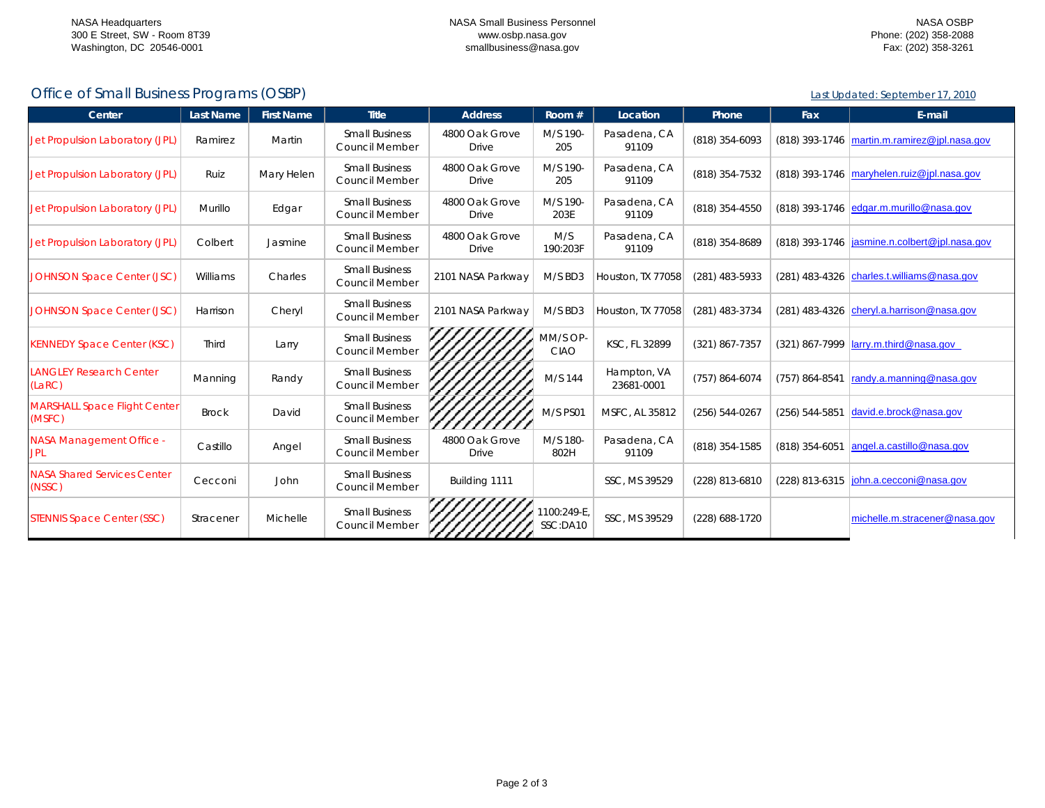Last Updated: September 17, 2010

## Office of Small Business Programs (OSBP)

| Center                                        | <b>Last Name</b> | <b>First Name</b> | <b>Title</b>                                   | <b>Address</b>          | Room #                  | Location                  | Phone            | Fax                | E-mail                                          |
|-----------------------------------------------|------------------|-------------------|------------------------------------------------|-------------------------|-------------------------|---------------------------|------------------|--------------------|-------------------------------------------------|
| Jet Propulsion Laboratory (JPL)               | Ramirez          | Martin            | <b>Small Business</b><br>Council Member        | 4800 Oak Grove<br>Drive | M/S 190-<br>205         | Pasadena, CA<br>91109     | (818) 354-6093   |                    | (818) 393-1746   martin.m.ramirez@jpl.nasa.gov  |
| Jet Propulsion Laboratory (JPL)               | Ruiz             | Mary Helen        | <b>Small Business</b><br>Council Member        | 4800 Oak Grove<br>Drive | M/S 190-<br>205         | Pasadena, CA<br>91109     | (818) 354-7532   |                    | (818) 393-1746 maryhelen.ruiz@jpl.nasa.gov      |
| Jet Propulsion Laboratory (JPL)               | Murillo          | Edgar             | <b>Small Business</b><br><b>Council Member</b> | 4800 Oak Grove<br>Drive | M/S 190-<br>203E        | Pasadena, CA<br>91109     | (818) 354-4550   |                    | (818) 393-1746 edgar.m.murillo@nasa.gov         |
| Jet Propulsion Laboratory (JPL)               | Colbert          | Jasmine           | <b>Small Business</b><br><b>Council Member</b> | 4800 Oak Grove<br>Drive | M/S<br>190:203F         | Pasadena, CA<br>91109     | (818) 354-8689   |                    | (818) 393-1746   jasmine.n.colbert@jpl.nasa.gov |
| <b>JOHNSON Space Center (JSC)</b>             | Williams         | Charles           | <b>Small Business</b><br>Council Member        | 2101 NASA Parkway       | M/S BD3                 | Houston, TX 77058         | (281) 483-5933   |                    | (281) 483-4326 charles.t.williams@nasa.gov      |
| <b>JOHNSON Space Center (JSC)</b>             | Harrison         | Cheryl            | <b>Small Business</b><br><b>Council Member</b> | 2101 NASA Parkway       | M/S BD3                 | Houston, TX 77058         | (281) 483-3734   |                    | (281) 483-4326 cheryl.a.harrison@nasa.gov       |
| <b>KENNEDY Space Center (KSC)</b>             | <b>Third</b>     | Larry             | <b>Small Business</b><br>Council Member        |                         | MM/S OP-<br><b>CIAO</b> | KSC, FL 32899             | (321) 867-7357   |                    | $(321)$ 867-7999   larry.m.third@nasa.gov       |
| <b>ANGLEY Research Center</b><br>(LARC)       | Manning          | Randy             | <b>Small Business</b><br>Council Member        |                         | M/S 144                 | Hampton, VA<br>23681-0001 | (757) 864-6074   | (757) 864-8541     | randy.a.manning@nasa.gov                        |
| <b>MARSHALL Space Flight Center</b><br>(MSFC) | <b>Brock</b>     | David             | <b>Small Business</b><br>Council Member        |                         | M/S PS01                | MSFC, AL 35812            | $(256) 544-0267$ | $(256) 544 - 5851$ | david.e.brock@nasa.gov                          |
| NASA Management Office -<br><b>JPL</b>        | Castillo         | Angel             | <b>Small Business</b><br><b>Council Member</b> | 4800 Oak Grove<br>Drive | M/S 180-<br>802H        | Pasadena, CA<br>91109     | (818) 354-1585   | (818) 354-6051     | angel.a.castillo@nasa.gov                       |
| <b>NASA Shared Services Center</b><br>(NSSC)  | Cecconi          | John              | <b>Small Business</b><br><b>Council Member</b> | Building 1111           |                         | SSC, MS 39529             | (228) 813-6810   | (228) 813-6315     | john.a.cecconi@nasa.gov                         |
| <b>STENNIS Space Center (SSC)</b>             | Stracener        | Michelle          | <b>Small Business</b><br>Council Member        |                         | 1100:249-E.<br>SSC:DA10 | SSC. MS 39529             | (228) 688-1720   |                    | michelle.m.stracener@nasa.gov                   |